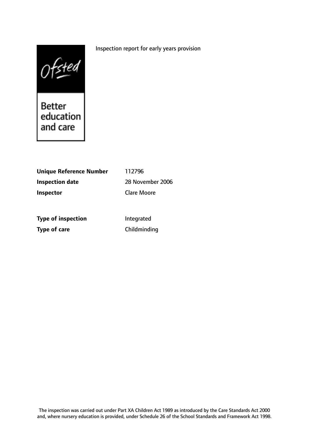## Inspection report for early years provision



| <b>Unique Reference Number</b> | 112796             |
|--------------------------------|--------------------|
| <b>Inspection date</b>         | 28 November 2006   |
| <b>Inspector</b>               | <b>Clare Moore</b> |
| <b>Type of inspection</b>      | Integrated         |

**Type of care** Childminding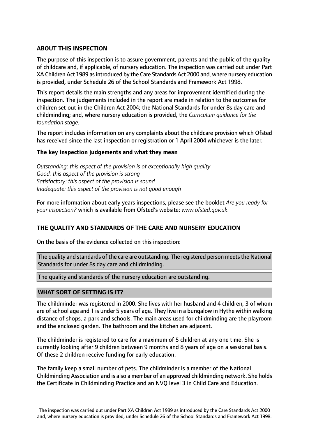## **ABOUT THIS INSPECTION**

The purpose of this inspection is to assure government, parents and the public of the quality of childcare and, if applicable, of nursery education. The inspection was carried out under Part XA Children Act 1989 as introduced by the Care Standards Act 2000 and, where nursery education is provided, under Schedule 26 of the School Standards and Framework Act 1998.

This report details the main strengths and any areas for improvement identified during the inspection. The judgements included in the report are made in relation to the outcomes for children set out in the Children Act 2004; the National Standards for under 8s day care and childminding; and, where nursery education is provided, the *Curriculum guidance for the foundation stage.*

The report includes information on any complaints about the childcare provision which Ofsted has received since the last inspection or registration or 1 April 2004 whichever is the later.

## **The key inspection judgements and what they mean**

*Outstanding: this aspect of the provision is of exceptionally high quality Good: this aspect of the provision is strong Satisfactory: this aspect of the provision is sound Inadequate: this aspect of the provision is not good enough*

For more information about early years inspections, please see the booklet *Are you ready for your inspection?* which is available from Ofsted's website: *www.ofsted.gov.uk.*

## **THE QUALITY AND STANDARDS OF THE CARE AND NURSERY EDUCATION**

On the basis of the evidence collected on this inspection:

The quality and standards of the care are outstanding. The registered person meets the National Standards for under 8s day care and childminding.

The quality and standards of the nursery education are outstanding.

## **WHAT SORT OF SETTING IS IT?**

The childminder was registered in 2000. She lives with her husband and 4 children, 3 of whom are of school age and 1 is under 5 years of age. They live in a bungalow in Hythe within walking distance of shops, a park and schools. The main areas used for childminding are the playroom and the enclosed garden. The bathroom and the kitchen are adjacent.

The childminder is registered to care for a maximum of 5 children at any one time. She is currently looking after 9 children between 9 months and 8 years of age on a sessional basis. Of these 2 children receive funding for early education.

The family keep a small number of pets. The childminder is a member of the National Childminding Association and is also a member of an approved childminding network. She holds the Certificate in Childminding Practice and an NVQ level 3 in Child Care and Education.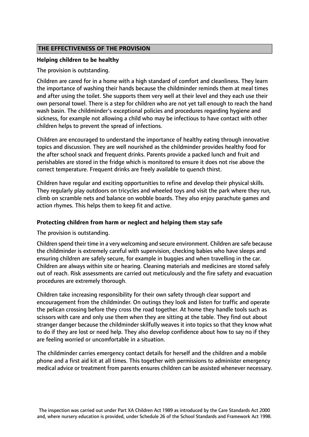## **THE EFFECTIVENESS OF THE PROVISION**

#### **Helping children to be healthy**

The provision is outstanding.

Children are cared for in a home with a high standard of comfort and cleanliness. They learn the importance of washing their hands because the childminder reminds them at meal times and after using the toilet. She supports them very well at their level and they each use their own personal towel. There is a step for children who are not yet tall enough to reach the hand wash basin. The childminder's exceptional policies and procedures regarding hygiene and sickness, for example not allowing a child who may be infectious to have contact with other children helps to prevent the spread of infections.

Children are encouraged to understand the importance of healthy eating through innovative topics and discussion. They are well nourished as the childminder provides healthy food for the after school snack and frequent drinks. Parents provide a packed lunch and fruit and perishables are stored in the fridge which is monitored to ensure it does not rise above the correct temperature. Frequent drinks are freely available to quench thirst.

Children have regular and exciting opportunities to refine and develop their physical skills. They regularly play outdoors on tricycles and wheeled toys and visit the park where they run, climb on scramble nets and balance on wobble boards. They also enjoy parachute games and action rhymes. This helps them to keep fit and active.

#### **Protecting children from harm or neglect and helping them stay safe**

The provision is outstanding.

Children spend their time in a very welcoming and secure environment. Children are safe because the childminder is extremely careful with supervision, checking babies who have sleeps and ensuring children are safely secure, for example in buggies and when travelling in the car. Children are always within site or hearing. Cleaning materials and medicines are stored safely out of reach. Risk assessments are carried out meticulously and the fire safety and evacuation procedures are extremely thorough.

Children take increasing responsibility for their own safety through clear support and encouragement from the childminder. On outings they look and listen for traffic and operate the pelican crossing before they cross the road together. At home they handle tools such as scissors with care and only use them when they are sitting at the table. They find out about stranger danger because the childminder skilfully weaves it into topics so that they know what to do if they are lost or need help. They also develop confidence about how to say no if they are feeling worried or uncomfortable in a situation.

The childminder carries emergency contact details for herself and the children and a mobile phone and a first aid kit at all times. This together with permissions to administer emergency medical advice or treatment from parents ensures children can be assisted whenever necessary.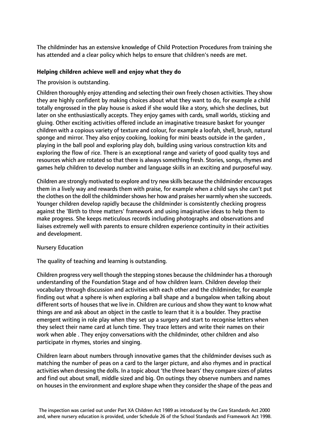The childminder has an extensive knowledge of Child Protection Procedures from training she has attended and a clear policy which helps to ensure that children's needs are met.

## **Helping children achieve well and enjoy what they do**

The provision is outstanding.

Children thoroughly enjoy attending and selecting their own freely chosen activities. They show they are highly confident by making choices about what they want to do, for example a child totally engrossed in the play house is asked if she would like a story, which she declines, but later on she enthusiastically accepts. They enjoy games with cards, small worlds, sticking and gluing. Other exciting activities offered include an imaginative treasure basket for younger children with a copious variety of texture and colour, for example a loofah, shell, brush, natural sponge and mirror. They also enjoy cooking, looking for mini beasts outside in the garden , playing in the ball pool and exploring play doh, building using various construction kits and exploring the flow of rice. There is an exceptional range and variety of good quality toys and resources which are rotated so that there is always something fresh. Stories, songs, rhymes and games help children to develop number and language skills in an exciting and purposeful way.

Children are strongly motivated to explore and try new skills because the childminder encourages them in a lively way and rewards them with praise, for example when a child says she can't put the clothes on the doll the childminder shows her how and praises her warmly when she succeeds. Younger children develop rapidly because the childminder is consistently checking progress against the 'Birth to three matters' framework and using imaginative ideas to help them to make progress. She keeps meticulous records including photographs and observations and liaises extremely well with parents to ensure children experience continuity in their activities and development.

## Nursery Education

The quality of teaching and learning is outstanding.

Children progress very well though the stepping stones because the childminder has a thorough understanding of the Foundation Stage and of how children learn. Children develop their vocabulary through discussion and activities with each other and the childminder, for example finding out what a sphere is when exploring a ball shape and a bungalow when talking about different sorts of houses that we live in. Children are curious and show they want to know what things are and ask about an object in the castle to learn that it is a boulder. They practise emergent writing in role play when they set up a surgery and start to recognise letters when they select their name card at lunch time. They trace letters and write their names on their work when able . They enjoy conversations with the childminder, other children and also participate in rhymes, stories and singing.

Children learn about numbers through innovative games that the childminder devises such as matching the number of peas on a card to the larger picture, and also rhymes and in practical activities when dressing the dolls. In a topic about 'the three bears' they compare sizes of plates and find out about small, middle sized and big. On outings they observe numbers and names on houses in the environment and explore shape when they consider the shape of the peas and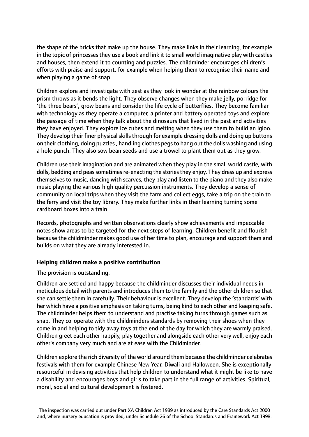the shape of the bricks that make up the house. They make links in their learning, for example in the topic of princesses they use a book and link it to small world imaginative play with castles and houses, then extend it to counting and puzzles. The childminder encourages children's efforts with praise and support, for example when helping them to recognise their name and when playing a game of snap.

Children explore and investigate with zest as they look in wonder at the rainbow colours the prism throws as it bends the light. They observe changes when they make jelly, porridge for 'the three bears', grow beans and consider the life cycle of butterflies. They become familiar with technology as they operate a computer, a printer and battery operated toys and explore the passage of time when they talk about the dinosaurs that lived in the past and activities they have enjoyed. They explore ice cubes and melting when they use them to build an igloo. They develop their finer physical skills through for example dressing dolls and doing up buttons on their clothing, doing puzzles, handling clothes pegsto hang out the dolls washing and using a hole punch. They also sow bean seeds and use a trowel to plant them out as they grow.

Children use their imagination and are animated when they play in the small world castle, with dolls, bedding and peas sometimes re-enacting the stories they enjoy. They dress up and express themselves to music, dancing with scarves, they play and listen to the piano and they also make music playing the various high quality percussion instruments. They develop a sense of community on local trips when they visit the farm and collect eggs, take a trip on the train to the ferry and visit the toy library. They make further links in their learning turning some cardboard boxes into a train.

Records, photographs and written observations clearly show achievements and impeccable notes show areas to be targeted for the next steps of learning. Children benefit and flourish because the childminder makes good use of her time to plan, encourage and support them and builds on what they are already interested in.

## **Helping children make a positive contribution**

#### The provision is outstanding.

Children are settled and happy because the childminder discusses their individual needs in meticulous detail with parents and introduces them to the family and the other children so that she can settle them in carefully. Their behaviour is excellent. They develop the 'standards' with her which have a positive emphasis on taking turns, being kind to each other and keeping safe. The childminder helps them to understand and practise taking turns through games such as snap. They co-operate with the childminders standards by removing their shoes when they come in and helping to tidy away toys at the end of the day for which they are warmly praised. Children greet each other happily, play together and alongside each other very well, enjoy each other's company very much and are at ease with the Childminder.

Children explore the rich diversity of the world around them because the childminder celebrates festivals with them for example Chinese New Year, Diwali and Halloween. She is exceptionally resourceful in devising activities that help children to understand what it might be like to have a disability and encourages boys and girls to take part in the full range of activities. Spiritual, moral, social and cultural development is fostered.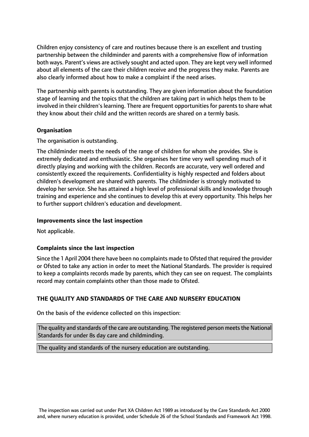Children enjoy consistency of care and routines because there is an excellent and trusting partnership between the childminder and parents with a comprehensive flow of information both ways. Parent's views are actively sought and acted upon. They are kept very well informed about all elements of the care their children receive and the progress they make. Parents are also clearly informed about how to make a complaint if the need arises.

The partnership with parents is outstanding. They are given information about the foundation stage of learning and the topics that the children are taking part in which helps them to be involved in their children's learning. There are frequent opportunities for parents to share what they know about their child and the written records are shared on a termly basis.

## **Organisation**

The organisation is outstanding.

The childminder meets the needs of the range of children for whom she provides. She is extremely dedicated and enthusiastic. She organises her time very well spending much of it directly playing and working with the children. Records are accurate, very well ordered and consistently exceed the requirements. Confidentiality is highly respected and folders about children's development are shared with parents. The childminder is strongly motivated to develop her service. She has attained a high level of professional skills and knowledge through training and experience and she continues to develop this at every opportunity. This helps her to further support children's education and development.

#### **Improvements since the last inspection**

Not applicable.

## **Complaints since the last inspection**

Since the 1 April 2004 there have been no complaints made to Ofsted that required the provider or Ofsted to take any action in order to meet the National Standards. The provider is required to keep a complaints records made by parents, which they can see on request. The complaints record may contain complaints other than those made to Ofsted.

# **THE QUALITY AND STANDARDS OF THE CARE AND NURSERY EDUCATION**

On the basis of the evidence collected on this inspection:

The quality and standards of the care are outstanding. The registered person meets the National Standards for under 8s day care and childminding.

The quality and standards of the nursery education are outstanding.